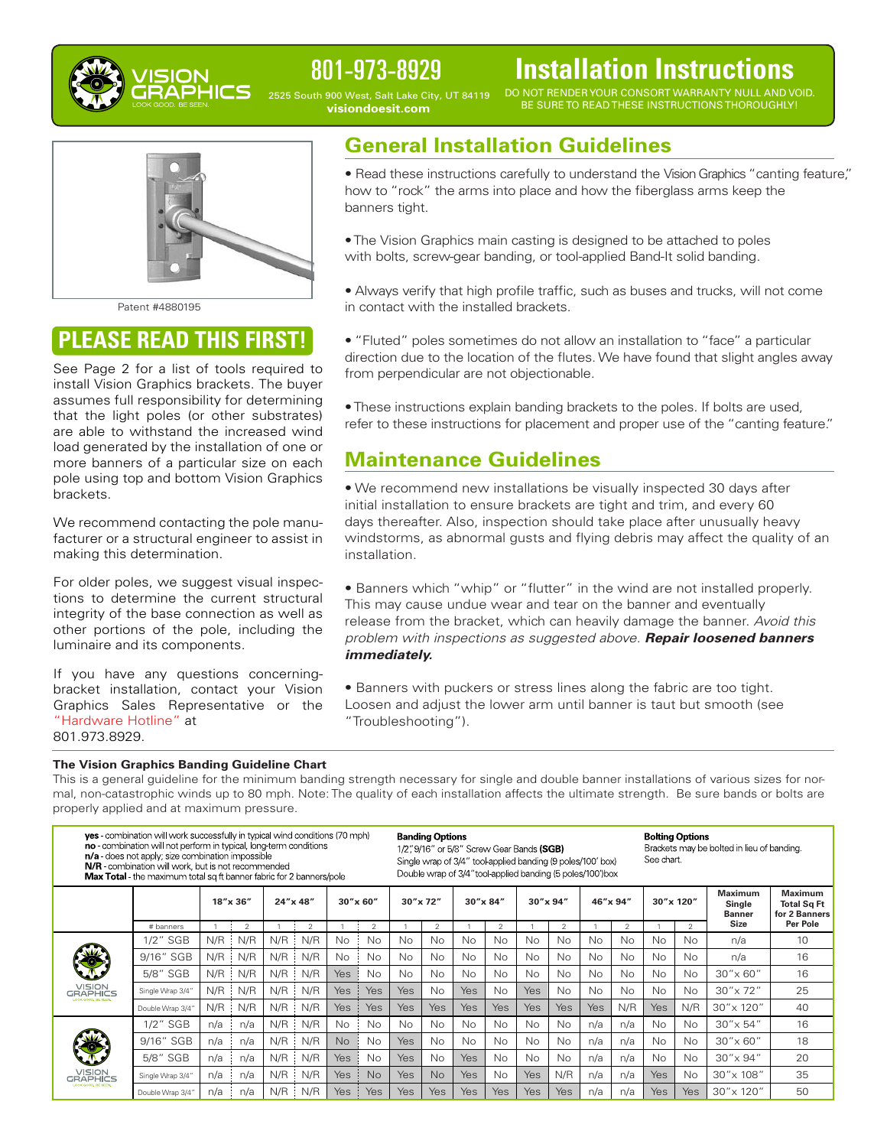

# 801-973-8929

2525 South 900 West, Salt Lake City, UT 84119 **visiondoesit.com**

# **Installation Instructions**

DO NOT RENDERYOUR CONSORT WARRANTY NULL AND VOID. BE SURE TO READ THESE INSTRUCTIONS THOROUGHLY!



Patent #4880195

# **PLEASE READ THIS FIRST!**

See Page 2 for a list of tools required to install Vision Graphics brackets. The buyer assumes full responsibility for determining that the light poles (or other substrates) are able to withstand the increased wind load generated by the installation of one or more banners of a particular size on each pole using top and bottom Vision Graphics brackets.

We recommend contacting the pole manufacturer or a structural engineer to assist in making this determination.

For older poles, we suggest visual inspections to determine the current structural integrity of the base connection as well as other portions of the pole, including the luminaire and its components.

If you have any questions concerningbracket installation, contact your Vision Graphics Sales Representative or the "Hardware Hotline" at 801.973.8929.

#### **The Vision Graphics Banding Guideline Chart**

# **General Installation Guidelines**

• Read these instructions carefully to understand the Vision Graphics "canting feature," how to "rock" the arms into place and how the fiberglass arms keep the banners tight.

- •The Vision Graphics main casting is designed to be attached to poles with bolts, screw-gear banding, or tool-applied Band-It solid banding.
- Always verify that high profile traffic, such as buses and trucks, will not come in contact with the installed brackets.

• "Fluted" poles sometimes do not allow an installation to "face" a particular direction due to the location of the flutes.We have found that slight angles away from perpendicular are not objectionable.

•These instructions explain banding brackets to the poles. If bolts are used, refer to these instructions for placement and proper use of the "canting feature."

## **Maintenance Guidelines**

• We recommend new installations be visually inspected 30 days after initial installation to ensure brackets are tight and trim, and every 60 days thereafter. Also, inspection should take place after unusually heavy windstorms, as abnormal gusts and flying debris may affect the quality of an installation.

• Banners which "whip" or "flutter" in the wind are not installed properly. This may cause undue wear and tear on the banner and eventually release from the bracket, which can heavily damage the banner. *Avoid this problem with inspections as suggested above. Repair loosened banners immediately.*

• Banners with puckers or stress lines along the fabric are too tight. Loosen and adjust the lower arm until banner is taut but smooth (see "Troubleshooting").

This is a general guideline for the minimum banding strength necessary for single and double banner installations of various sizes for normal, non-catastrophic winds up to 80 mph. Note: The quality of each installation affects the ultimate strength. Be sure bands or bolts are properly applied and at maximum pressure.

| <b>ves</b> combination will work successfully in typical wind conditions (70 mph)<br>no - combination will not perform in typical, long term conditions<br>n/a - does not apply; size combination impossible<br>N/R - combination will work, but is not recommended<br>Max Total the maximum total sq ft banner fabric for 2 banners/pole |                  |          |                |          |                |            |                | <b>Banding Options</b><br>1/2", 9/16" or 5/8" Screw Gear Bands (SGB)<br>Single wrap of 3/4" tool applied banding (9 poles/100' box)<br>Double wrap of 3/4" tool applied banding (5 poles/100') box |               |            |                |            |                |            |           | <b>Bolting Options</b><br>Brackets may be bolted in lieu of banding.<br>See chart |               |                                    |                                                       |
|-------------------------------------------------------------------------------------------------------------------------------------------------------------------------------------------------------------------------------------------------------------------------------------------------------------------------------------------|------------------|----------|----------------|----------|----------------|------------|----------------|----------------------------------------------------------------------------------------------------------------------------------------------------------------------------------------------------|---------------|------------|----------------|------------|----------------|------------|-----------|-----------------------------------------------------------------------------------|---------------|------------------------------------|-------------------------------------------------------|
|                                                                                                                                                                                                                                                                                                                                           |                  | 18"x 36" |                | 24"x 48" |                | 30"x 60"   |                | 30"x 72"                                                                                                                                                                                           |               | 30"x 84"   |                | 30"x 94"   |                | 46"x 94"   |           | 30"x 120"                                                                         |               | Maximum<br>Single<br><b>Banner</b> | <b>Maximum</b><br><b>Total Sq Ft</b><br>for 2 Banners |
|                                                                                                                                                                                                                                                                                                                                           | # banners        |          | $\overline{2}$ |          | $\overline{2}$ |            | $\overline{2}$ |                                                                                                                                                                                                    | $\mathcal{P}$ |            | $\overline{2}$ |            | $\mathfrak{p}$ |            | 2         |                                                                                   | $\mathcal{P}$ | <b>Size</b>                        | Per Pole                                              |
| VISION<br>GRAPHICS<br>LOOK GOOD, RESERV                                                                                                                                                                                                                                                                                                   | 1/2" SGB         | N/R      | N/R            | N/R      | N/R            | No.        | No.            | No                                                                                                                                                                                                 | No.           | No         | <b>No</b>      | <b>No</b>  | No.            | No         | No        | <b>No</b>                                                                         | No.           | n/a                                | 10                                                    |
|                                                                                                                                                                                                                                                                                                                                           | 9/16" SGB        | N/R      | N/R            | N/R      | N/R            | <b>No</b>  | No.            | No                                                                                                                                                                                                 | <b>No</b>     | <b>No</b>  | <b>No</b>      | <b>No</b>  | <b>No</b>      | <b>No</b>  | No        | No                                                                                | No            | n/a                                | 16                                                    |
|                                                                                                                                                                                                                                                                                                                                           | 5/8" SGB         | $N/R$ :  | N/R            | N/R      | N/R            | Yes        | No.            | <b>No</b>                                                                                                                                                                                          | <b>No</b>     | <b>No</b>  | <b>No</b>      | <b>No</b>  | <b>No</b>      | <b>No</b>  | <b>No</b> | <b>No</b>                                                                         | <b>No</b>     | $30'' \times 60''$                 | 16                                                    |
|                                                                                                                                                                                                                                                                                                                                           | Single Wrap 3/4" | N/R      | N/R            | N/R      | N/R            | Yes        | <b>Yes</b>     | <b>Yes</b>                                                                                                                                                                                         | <b>No</b>     | Yes        | <b>No</b>      | Yes        | No.            | <b>No</b>  | No        | <b>No</b>                                                                         | No            | $30'' \times 72''$                 | 25                                                    |
|                                                                                                                                                                                                                                                                                                                                           | Double Wrap 3/4' | $N/R$ :  | N/R            | $N/R$ :  | N/R            | <b>Yes</b> | <b>Yes</b>     | <b>Yes</b>                                                                                                                                                                                         | <b>Yes</b>    | Yes        | <b>Yes</b>     | Yes        | Yes            | <b>Yes</b> | N/R       | <b>Yes</b>                                                                        | N/R           | 30" x 120"                         | 40                                                    |
| VISION<br>GRAPHICS<br>LOOK GOOD, BE SEEN.                                                                                                                                                                                                                                                                                                 | 1/2" SGB         | n/a      | n/a            | N/R      | N/R            | <b>No</b>  | <b>No</b>      | No.                                                                                                                                                                                                | No.           | <b>No</b>  | <b>No</b>      | <b>No</b>  | No             | n/a        | n/a       | <b>No</b>                                                                         | <b>No</b>     | $30'' \times 54''$                 | 16                                                    |
|                                                                                                                                                                                                                                                                                                                                           | 9/16" SGB        | n/a      | n/a            | N/R      | N/R            | No         | No             | <b>Yes</b>                                                                                                                                                                                         | No.           | <b>No</b>  | No.            | No.        | <b>No</b>      | n/a        | n/a       | No                                                                                | No            | $30'' \times 60''$                 | 18                                                    |
|                                                                                                                                                                                                                                                                                                                                           | 5/8" SGB         | n/a      | n/a            | N/R      | N/R            | <b>Yes</b> | No.            | Yes                                                                                                                                                                                                | <b>No</b>     | Yes        | No.            | <b>No</b>  | <b>No</b>      | n/a        | n/a       | <b>No</b>                                                                         | No            | $30'' \times 94''$                 | 20                                                    |
|                                                                                                                                                                                                                                                                                                                                           | Single Wrap 3/4" | n/a      | n/a            | N/R      | N/R            | Yes        | N <sub>o</sub> | <b>Yes</b>                                                                                                                                                                                         | <b>No</b>     | Yes        | <b>No</b>      | Yes        | N/R            | n/a        | n/a       | Yes                                                                               | No            | 30" x 108"                         | 35                                                    |
|                                                                                                                                                                                                                                                                                                                                           | Double Wrap 3/4  | n/a      | n/a            | N/R      | N/R            | Yes        | <b>Yes</b>     | <b>Yes</b>                                                                                                                                                                                         | Yes           | <b>Yes</b> | <b>Yes</b>     | <b>Yes</b> | <b>Yes</b>     | n/a        | n/a       | <b>Yes</b>                                                                        | <b>Yes</b>    | 30" x 120"                         | 50                                                    |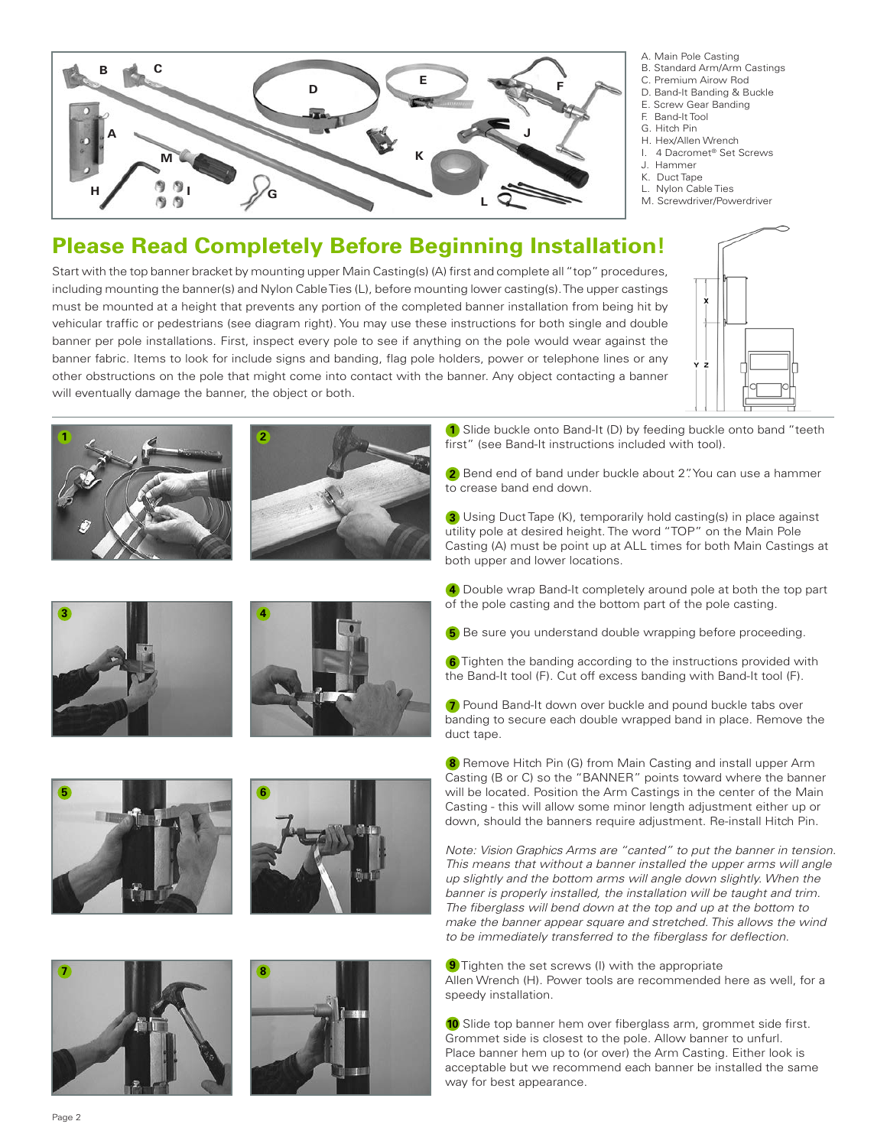

- A. Main Pole Casting
- B. Standard Arm/Arm Castings
- C. Premium Airow Rod
- D. Band-It Banding & Buckle
- E. Screw Gear Banding
- F. Band-It Tool
- G. Hitch Pin
- H. Hex/Allen Wrench
- I. 4 Dacromet® Set Screws
- J. Hammer
- K. Duct Tape L. Nylon Cable Ties
- M. Screwdriver/Powerdriver

# **Please Read Completely Before Beginning Installation!**

Start with the top banner bracket by mounting upper Main Casting(s) (A) first and complete all "top" procedures, including mounting the banner(s) and Nylon CableTies (L), before mounting lower casting(s).The upper castings must be mounted at a height that prevents any portion of the completed banner installation from being hit by vehicular traffic or pedestrians (see diagram right). You may use these instructions for both single and double banner per pole installations. First, inspect every pole to see if anything on the pole would wear against the banner fabric. Items to look for include signs and banding, flag pole holders, power or telephone lines or any other obstructions on the pole that might come into contact with the banner. Any object contacting a banner will eventually damage the banner, the object or both.

**2**



**1** Slide buckle onto Band-It (D) by feeding buckle onto band "teeth first" (see Band-It instructions included with tool). **<sup>1</sup> <sup>1</sup>**

> **2** Bend end of band under buckle about 2". You can use a hammer to crease band end down.

 Using Duct Tape (K), temporarily hold casting(s) in place against **3** utility pole at desired height. The word "TOP" on the Main Pole Casting (A) must be point up at ALL times for both Main Castings at both upper and lower locations.

 Double wrap Band-It completely around pole at both the top part **4** of the pole casting and the bottom part of the pole casting.

**5** Be sure you understand double wrapping before proceeding.

**6** Tighten the banding according to the instructions provided with the Band-It tool (F). Cut off excess banding with Band-It tool (F).

**7** Pound Band-It down over buckle and pound buckle tabs over banding to secure each double wrapped band in place. Remove the duct tape.

**8** Remove Hitch Pin (G) from Main Casting and install upper Arm Casting (B or C) so the "BANNER" points toward where the banner will be located. Position the Arm Castings in the center of the Main Casting - this will allow some minor length adjustment either up or down, should the banners require adjustment. Re-install Hitch Pin.

*Note: Vision Graphics Arms are "canted" to put the banner in tension. This means that without a banner installed the upper arms will angle up slightly and the bottom arms will angle down slightly. When the banner is properly installed, the installation will be taught and trim. The fiberglass will bend down at the top and up at the bottom to make the banner appear square and stretched. This allows the wind to be immediately transferred to the fiberglass for deflection.*

**9** Tighten the set screws (I) with the appropriate Allen Wrench (H). Power tools are recommended here as well, for a speedy installation.

10 Slide top banner hem over fiberglass arm, grommet side first. Grommet side is closest to the pole. Allow banner to unfurl. Place banner hem up to (or over) the Arm Casting. Either look is acceptable but we recommend each banner be installed the same way for best appearance.











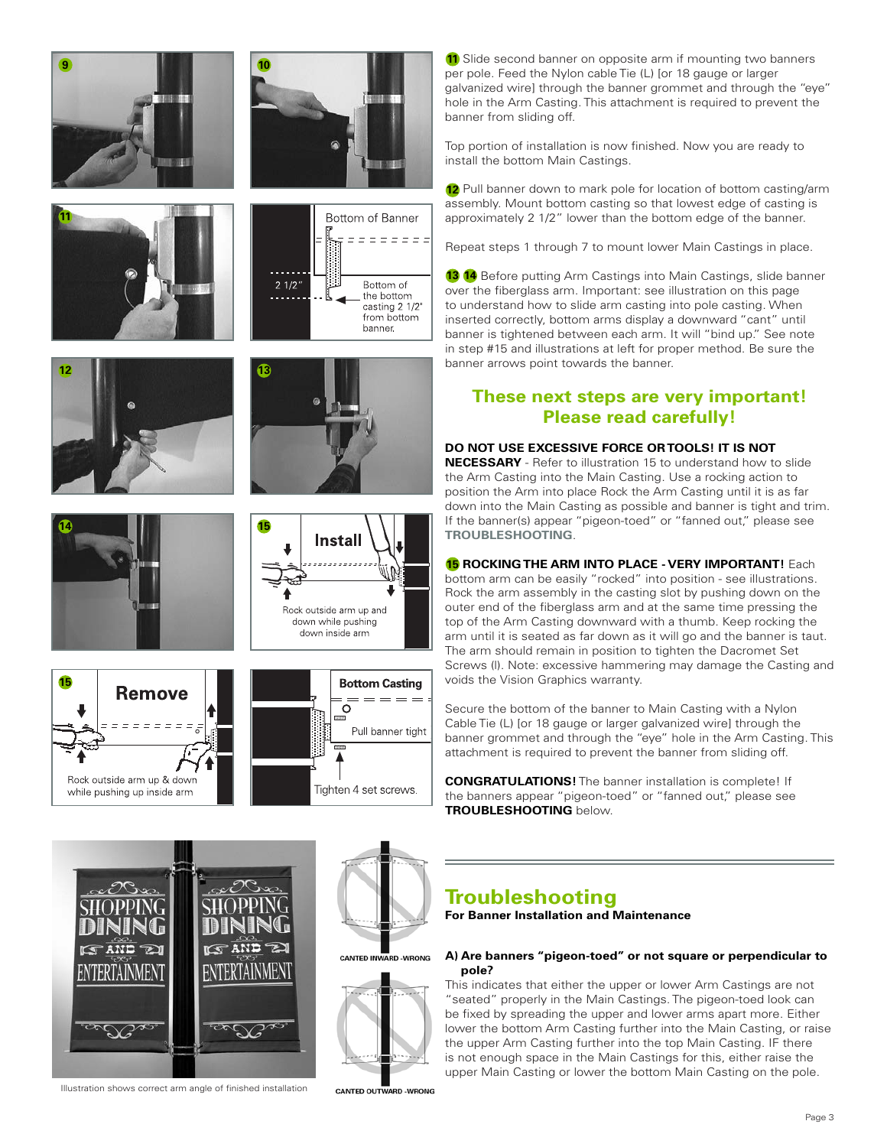



**10**

**13**















11 Slide second banner on opposite arm if mounting two banners per pole. Feed the Nylon cable Tie (L) [or 18 gauge or larger galvanized wire] through the banner grommet and through the "eye" hole in the Arm Casting. This attachment is required to prevent the banner from sliding off.

Top portion of installation is now finished. Now you are ready to install the bottom Main Castings.

12 Pull banner down to mark pole for location of bottom casting/arm assembly. Mount bottom casting so that lowest edge of casting is approximately 2 1/2" lower than the bottom edge of the banner.

Repeat steps 1 through 7 to mount lower Main Castings in place.

**13 14** Before putting Arm Castings into Main Castings, slide banner over the fiberglass arm. Important: see illustration on this page to understand how to slide arm casting into pole casting. When inserted correctly, bottom arms display a downward "cant" until banner is tightened between each arm. It will "bind up." See note in step #15 and illustrations at left for proper method. Be sure the banner arrows point towards the banner.

### **These next steps are very important! Please read carefully!**

#### **DO NOT USE EXCESSIVE FORCE ORTOOLS! IT IS NOT**

**NECESSARY** - Refer to illustration 15 to understand how to slide the Arm Casting into the Main Casting. Use a rocking action to position the Arm into place Rock the Arm Casting until it is as far down into the Main Casting as possible and banner is tight and trim. If the banner(s) appear "pigeon-toed" or "fanned out," please see **TROUBLESHOOTING**.

**ROCKINGTHE ARM INTO PLACE - VERY IMPORTANT!** Each **15**

bottom arm can be easily "rocked" into position - see illustrations. Rock the arm assembly in the casting slot by pushing down on the outer end of the fiberglass arm and at the same time pressing the top of the Arm Casting downward with a thumb. Keep rocking the arm until it is seated as far down as it will go and the banner is taut. The arm should remain in position to tighten the Dacromet Set Screws (l). Note: excessive hammering may damage the Casting and voids the Vision Graphics warranty.

Secure the bottom of the banner to Main Casting with a Nylon Cable Tie (L) [or 18 gauge or larger galvanized wire] through the banner grommet and through the "eye" hole in the Arm Casting. This attachment is required to prevent the banner from sliding off.

**CONGRATULATIONS!** The banner installation is complete! If the banners appear "pigeon-toed" or "fanned out," please see **TROUBLESHOOTING** below.



Illustration shows correct arm angle of finished installation

# **CANTED INWARD -WRONG**



**CANTED OUTWARD -WRONG** 

# **Troubleshooting**

**For Banner Installation and Maintenance**

#### **A) Are banners "pigeon-toed" or not square or perpendicular to pole?**

This indicates that either the upper or lower Arm Castings are not "seated" properly in the Main Castings. The pigeon-toed look can be fixed by spreading the upper and lower arms apart more. Either lower the bottom Arm Casting further into the Main Casting, or raise the upper Arm Casting further into the top Main Casting. IF there is not enough space in the Main Castings for this, either raise the upper Main Casting or lower the bottom Main Casting on the pole.